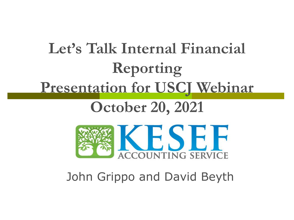# **Let's Talk Internal Financial Reporting Presentation for USCJ Webinar**

# **October 20, 2021**



### John Grippo and David Beyth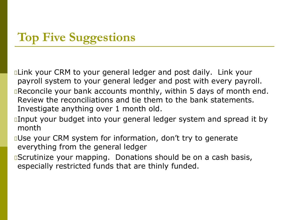### **Top Five Suggestions**

**ELINK your CRM to your general ledger and post daily. Link your** payroll system to your general ledger and post with every payroll. **Execoncile your bank accounts monthly, within 5 days of month end.** Review the reconciliations and tie them to the bank statements. Investigate anything over 1 month old.

- **Input your budget into your general ledger system and spread it by** month
- **QUse your CRM system for information, don't try to generate** everything from the general ledger
- *B*Scrutinize your mapping. Donations should be on a cash basis, especially restricted funds that are thinly funded.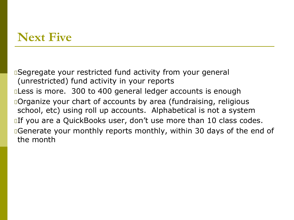#### **Next Five**

Segregate your restricted fund activity from your general (unrestricted) fund activity in your reports **Less is more.** 300 to 400 general ledger accounts is enough **Organize your chart of accounts by area (fundraising, religious** school, etc) using roll up accounts. Alphabetical is not a system **If you are a QuickBooks user, don't use more than 10 class codes. Examber 20 Fenerate your monthly reports monthly, within 30 days of the end of** the month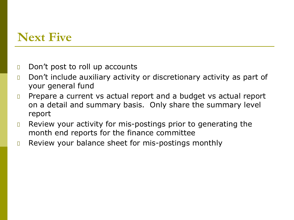#### **Next Five**

- **D** Don't post to roll up accounts
- **D** Don't include auxiliary activity or discretionary activity as part of your general fund
- **Prepare a current vs actual report and a budget vs actual report** on a detail and summary basis. Only share the summary level report
- **E** Review your activity for mis-postings prior to generating the month end reports for the finance committee
- **B** Review your balance sheet for mis-postings monthly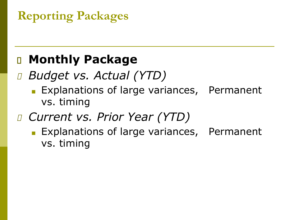# **Reporting Packages**

### **Monthly Package**

## *Budget vs. Actual (YTD)*

Explanations of large variances, Permanent vs. timing

### *Current vs. Prior Year (YTD)*

Explanations of large variances, Permanent vs. timing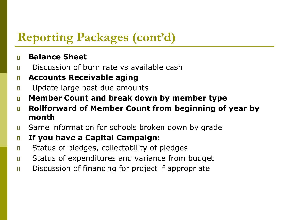#### **Reporting Packages (cont'd)**

#### **Balance Sheet**

- **Discussion of burn rate vs available cash**
- **Accounts Receivable aging**
- **Update large past due amounts**
- **Member Count and break down by member type**
- **Rollforward of Member Count from beginning of year by month**
- **B** Same information for schools broken down by grade
- **If you have a Capital Campaign:**
- **In** Status of pledges, collectability of pledges
- **D** Status of expenditures and variance from budget
- Discussion of financing for project if appropriate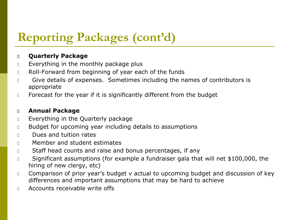### **Reporting Packages (cont'd)**

#### **Quarterly Package**

- Everything in the monthly package plus
- **B** Roll-Forward from beginning of year each of the funds
- **Give details of expenses.** Sometimes including the names of contributors is appropriate
- **EXEDEE Forecast for the year if it is significantly different from the budget**

#### **Annual Package**

- $E$  Everything in the Quarterly package
- **Budget for upcoming year including details to assumptions**
- **Dues and tuition rates**
- **n** Member and student estimates
- **D** Staff head counts and raise and bonus percentages, if any
- **D** Significant assumptions (for example a fundraiser gala that will net \$100,000, the hiring of new clergy, etc)
- **Comparison of prior year's budget v actual to upcoming budget and discussion of key** differences and important assumptions that may be hard to achieve
- $\Box$  Accounts receivable write offs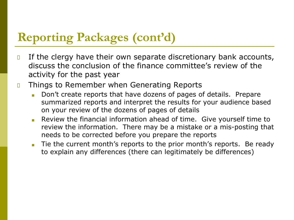#### **Reporting Packages (cont'd)**

- **If the clergy have their own separate discretionary bank accounts,** discuss the conclusion of the finance committee's review of the activity for the past year
- **D** Things to Remember when Generating Reports
	- Don't create reports that have dozens of pages of details. Prepare summarized reports and interpret the results for your audience based on your review of the dozens of pages of details
	- Review the financial information ahead of time. Give yourself time to review the information. There may be a mistake or a mis-posting that needs to be corrected before you prepare the reports
	- Tie the current month's reports to the prior month's reports. Be ready to explain any differences (there can legitimately be differences)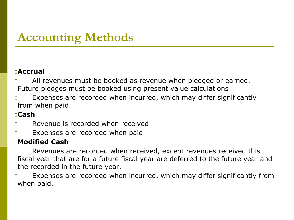### **Accounting Methods**

#### **Accrual**

- All revenues must be booked as revenue when pledged or earned. Future pledges must be booked using present value calculations
- **Expenses are recorded when incurred, which may differ significantly** from when paid.

#### **Cash**

- Revenue is recorded when received
- **Expenses are recorded when paid**

#### **Modified Cash**

- Revenues are recorded when received, except revenues received this fiscal year that are for a future fiscal year are deferred to the future year and the recorded in the future year.
- **Expenses are recorded when incurred, which may differ significantly from** when paid.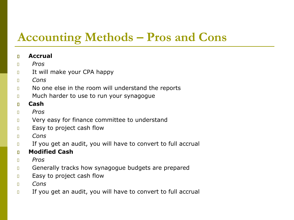### **Accounting Methods – Pros and Cons**

#### **Accrual**

- *Pros*
- It will make your CPA happy
- *Cons*
- **No one else in the room will understand the reports**
- **If much harder to use to run your synagogue**
- **Cash**
- *Pros*
- **If the Very easy for finance committee to understand**
- **Easy to project cash flow**
- *Cons*
- If you get an audit, you will have to convert to full accrual
- **Modified Cash**
- *Pros*
- **Generally tracks how synagogue budgets are prepared**
- **Easy to project cash flow**
- *Cons*
- $\Box$  If you get an audit, you will have to convert to full accrual